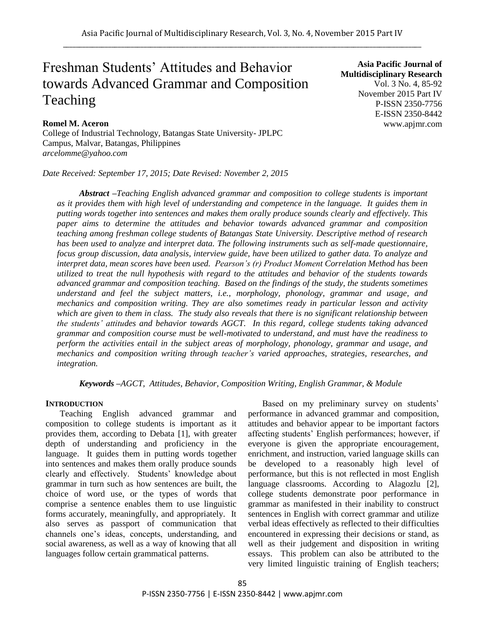# Freshman Students" Attitudes and Behavior towards Advanced Grammar and Composition Teaching

**Romel M. Aceron**

College of Industrial Technology, Batangas State University- JPLPC Campus, Malvar, Batangas, Philippines *arcelomme@yahoo.com*

*Date Received: September 17, 2015; Date Revised: November 2, 2015*

**Asia Pacific Journal of Multidisciplinary Research** Vol. 3 No. 4, 85-92 November 2015 Part IV P-ISSN 2350-7756 E-ISSN 2350-8442 www.apjmr.com

*Abstract –Teaching English advanced grammar and composition to college students is important as it provides them with high level of understanding and competence in the language. It guides them in putting words together into sentences and makes them orally produce sounds clearly and effectively. This paper aims to determine the attitudes and behavior towards advanced grammar and composition teaching among freshman college students of Batangas State University. Descriptive method of research has been used to analyze and interpret data. The following instruments such as self-made questionnaire, focus group discussion, data analysis, interview guide, have been utilized to gather data. To analyze and interpret data, mean scores have been used. Pearson's (r) Product Moment Correlation Method has been utilized to treat the null hypothesis with regard to the attitudes and behavior of the students towards advanced grammar and composition teaching. Based on the findings of the study, the students sometimes understand and feel the subject matters, i.e., morphology, phonology, grammar and usage, and mechanics and composition writing. They are also sometimes ready in particular lesson and activity which are given to them in class. The study also reveals that there is no significant relationship between the students' attitudes and behavior towards AGCT. In this regard, college students taking advanced grammar and composition course must be well-motivated to understand, and must have the readiness to perform the activities entail in the subject areas of morphology, phonology, grammar and usage, and mechanics and composition writing through teacher's varied approaches, strategies, researches, and integration.*

*Keywords –AGCT, Attitudes, Behavior, Composition Writing, English Grammar, & Module*

### **INTRODUCTION**

Teaching English advanced grammar and composition to college students is important as it provides them, according to Debata [1], with greater depth of understanding and proficiency in the language. It guides them in putting words together into sentences and makes them orally produce sounds clearly and effectively. Students' knowledge about grammar in turn such as how sentences are built, the choice of word use, or the types of words that comprise a sentence enables them to use linguistic forms accurately, meaningfully, and appropriately. It also serves as passport of communication that channels one"s ideas, concepts, understanding, and social awareness, as well as a way of knowing that all languages follow certain grammatical patterns.

Based on my preliminary survey on students' performance in advanced grammar and composition, attitudes and behavior appear to be important factors affecting students" English performances; however, if everyone is given the appropriate encouragement, enrichment, and instruction, varied language skills can be developed to a reasonably high level of performance, but this is not reflected in most English language classrooms. According to Alagozlu [2], college students demonstrate poor performance in grammar as manifested in their inability to construct sentences in English with correct grammar and utilize verbal ideas effectively as reflected to their difficulties encountered in expressing their decisions or stand, as well as their judgement and disposition in writing essays. This problem can also be attributed to the very limited linguistic training of English teachers;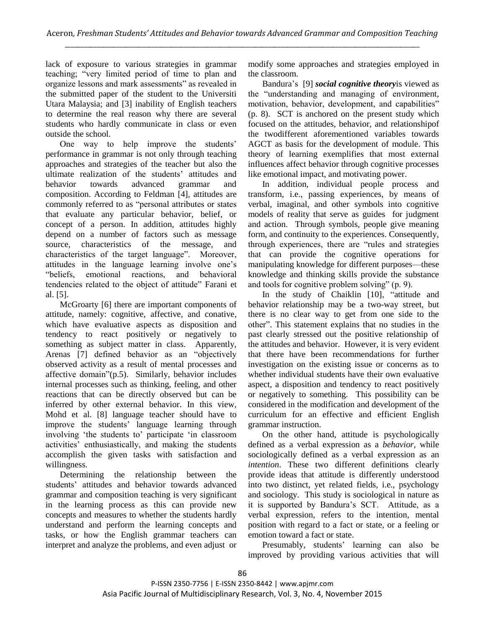lack of exposure to various strategies in grammar teaching; "very limited period of time to plan and organize lessons and mark assessments" as revealed in the submitted paper of the student to the Universiti Utara Malaysia; and [3] inability of English teachers to determine the real reason why there are several students who hardly communicate in class or even outside the school.

One way to help improve the students' performance in grammar is not only through teaching approaches and strategies of the teacher but also the ultimate realization of the students' attitudes and behavior towards advanced grammar and composition. According to Feldman [4], attitudes are commonly referred to as "personal attributes or states that evaluate any particular behavior, belief, or concept of a person. In addition, attitudes highly depend on a number of factors such as message source, characteristics of the message, and characteristics of the target language". Moreover, attitudes in the language learning involve one"s "beliefs, emotional reactions, and behavioral tendencies related to the object of attitude" Farani et al. [5].

McGroarty [6] there are important components of attitude, namely: cognitive, affective, and conative, which have evaluative aspects as disposition and tendency to react positively or negatively to something as subject matter in class. Apparently, Arenas [7] defined behavior as an "objectively observed activity as a result of mental processes and affective domain"(p.5). Similarly, behavior includes internal processes such as thinking, feeling, and other reactions that can be directly observed but can be inferred by other external behavior. In this view, Mohd et al. [8] language teacher should have to improve the students' language learning through involving 'the students to' participate 'in classroom activities" enthusiastically, and making the students accomplish the given tasks with satisfaction and willingness.

Determining the relationship between the students" attitudes and behavior towards advanced grammar and composition teaching is very significant in the learning process as this can provide new concepts and measures to whether the students hardly understand and perform the learning concepts and tasks, or how the English grammar teachers can interpret and analyze the problems, and even adjust or modify some approaches and strategies employed in the classroom.

Bandura"s [9] *social cognitive theory*is viewed as the "understanding and managing of environment, motivation, behavior, development, and capabilities" (p. 8). SCT is anchored on the present study which focused on the attitudes, behavior, and relationshipof the twodifferent aforementioned variables towards AGCT as basis for the development of module. This theory of learning exemplifies that most external influences affect behavior through cognitive processes like emotional impact, and motivating power.

In addition, individual people process and transform, i.e., passing experiences, by means of verbal, imaginal, and other symbols into cognitive models of reality that serve as guides for judgment and action. Through symbols, people give meaning form, and continuity to the experiences. Consequently, through experiences, there are "rules and strategies that can provide the cognitive operations for manipulating knowledge for different purposes—these knowledge and thinking skills provide the substance and tools for cognitive problem solving" (p. 9).

In the study of Chaiklin [10], "attitude and behavior relationship may be a two-way street, but there is no clear way to get from one side to the other". This statement explains that no studies in the past clearly stressed out the positive relationship of the attitudes and behavior. However, it is very evident that there have been recommendations for further investigation on the existing issue or concerns as to whether individual students have their own evaluative aspect, a disposition and tendency to react positively or negatively to something. This possibility can be considered in the modification and development of the curriculum for an effective and efficient English grammar instruction.

On the other hand, attitude is psychologically defined as a verbal expression as a *behavior*, while sociologically defined as a verbal expression as an *intention*. These two different definitions clearly provide ideas that attitude is differently understood into two distinct, yet related fields, i.e., psychology and sociology. This study is sociological in nature as it is supported by Bandura"s SCT. Attitude, as a verbal expression, refers to the intention, mental position with regard to a fact or state, or a feeling or emotion toward a fact or state.

Presumably, students' learning can also be improved by providing various activities that will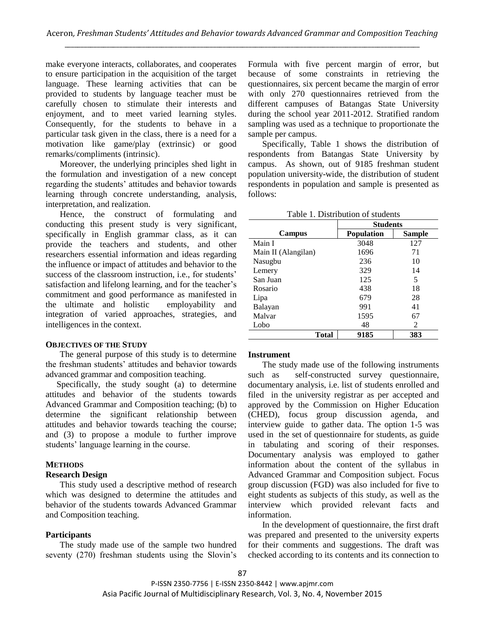make everyone interacts, collaborates, and cooperates to ensure participation in the acquisition of the target language. These learning activities that can be provided to students by language teacher must be carefully chosen to stimulate their interests and enjoyment, and to meet varied learning styles. Consequently, for the students to behave in a particular task given in the class, there is a need for a motivation like game/play (extrinsic) or good remarks/compliments (intrinsic).

Moreover, the underlying principles shed light in the formulation and investigation of a new concept regarding the students" attitudes and behavior towards learning through concrete understanding, analysis, interpretation, and realization.

Hence, the construct of formulating and conducting this present study is very significant, specifically in English grammar class, as it can provide the teachers and students, and other researchers essential information and ideas regarding the influence or impact of attitudes and behavior to the success of the classroom instruction, i.e., for students' satisfaction and lifelong learning, and for the teacher's commitment and good performance as manifested in the ultimate and holistic employability and integration of varied approaches, strategies, and intelligences in the context.

#### **OBJECTIVES OF THE STUDY**

The general purpose of this study is to determine the freshman students' attitudes and behavior towards advanced grammar and composition teaching.

 Specifically, the study sought (a) to determine attitudes and behavior of the students towards Advanced Grammar and Composition teaching; (b) to determine the significant relationship between attitudes and behavior towards teaching the course; and (3) to propose a module to further improve students' language learning in the course.

### **METHODS**

### **Research Design**

This study used a descriptive method of research which was designed to determine the attitudes and behavior of the students towards Advanced Grammar and Composition teaching.

### **Participants**

The study made use of the sample two hundred seventy (270) freshman students using the Slovin's Formula with five percent margin of error, but because of some constraints in retrieving the questionnaires, six percent became the margin of error with only 270 questionnaires retrieved from the different campuses of Batangas State University during the school year 2011-2012. Stratified random sampling was used as a technique to proportionate the sample per campus.

Specifically, Table 1 shows the distribution of respondents from Batangas State University by campus. As shown, out of 9185 freshman student population university-wide, the distribution of student respondents in population and sample is presented as follows:

| Table 1. Distribution of students |                   |        |  |
|-----------------------------------|-------------------|--------|--|
|                                   | <b>Students</b>   |        |  |
| Campus                            | <b>Population</b> | Sample |  |
| Main I                            | 3048              | 127    |  |
| Main II (Alangilan)               | 1696              | 71     |  |
| Nasugbu                           | 236               | 10     |  |
| Lemery                            | 329               | 14     |  |
| San Juan                          | 125               | 5      |  |
| Rosario                           | 438               | 18     |  |
| Lipa                              | 679               | 28     |  |
| Balayan                           | 991               | 41     |  |
| Malvar                            | 1595              | 67     |  |
| Lobo                              | 48                | 2      |  |
| Total                             | 9185              | 383    |  |

#### **Instrument**

The study made use of the following instruments such as self-constructed survey questionnaire, documentary analysis, i.e. list of students enrolled and filed in the university registrar as per accepted and approved by the Commission on Higher Education (CHED), focus group discussion agenda, and interview guide to gather data. The option 1-5 was used in the set of questionnaire for students, as guide in tabulating and scoring of their responses. Documentary analysis was employed to gather information about the content of the syllabus in Advanced Grammar and Composition subject. Focus group discussion (FGD) was also included for five to eight students as subjects of this study, as well as the interview which provided relevant facts and information.

In the development of questionnaire, the first draft was prepared and presented to the university experts for their comments and suggestions. The draft was checked according to its contents and its connection to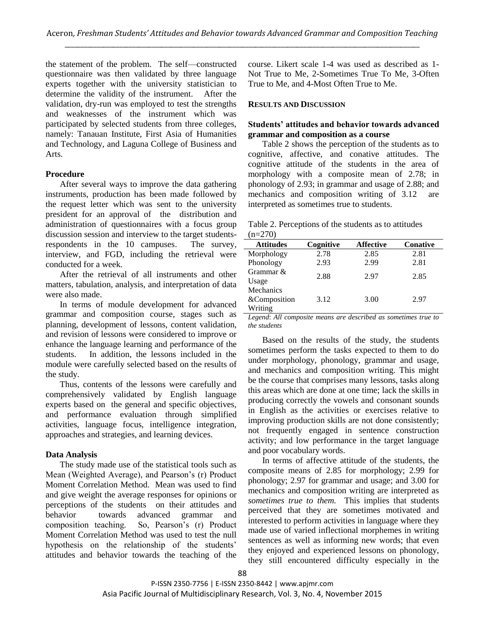the statement of the problem. The self—constructed questionnaire was then validated by three language experts together with the university statistician to determine the validity of the instrument. After the validation, dry-run was employed to test the strengths and weaknesses of the instrument which was participated by selected students from three colleges, namely: Tanauan Institute, First Asia of Humanities and Technology, and Laguna College of Business and Arts.

## **Procedure**

After several ways to improve the data gathering instruments, production has been made followed by the request letter which was sent to the university president for an approval of the distribution and administration of questionnaires with a focus group discussion session and interview to the target studentsrespondents in the 10 campuses. The survey, interview, and FGD, including the retrieval were conducted for a week.

After the retrieval of all instruments and other matters, tabulation, analysis, and interpretation of data were also made.

In terms of module development for advanced grammar and composition course, stages such as planning, development of lessons, content validation, and revision of lessons were considered to improve or enhance the language learning and performance of the students. In addition, the lessons included in the module were carefully selected based on the results of the study.

Thus, contents of the lessons were carefully and comprehensively validated by English language experts based on the general and specific objectives, and performance evaluation through simplified activities, language focus, intelligence integration, approaches and strategies, and learning devices.

# **Data Analysis**

The study made use of the statistical tools such as Mean (Weighted Average), and Pearson's (r) Product Moment Correlation Method. Mean was used to find and give weight the average responses for opinions or perceptions of the students on their attitudes and behavior towards advanced grammar and composition teaching. So, Pearson"s (r) Product Moment Correlation Method was used to test the null hypothesis on the relationship of the students' attitudes and behavior towards the teaching of the

course. Likert scale 1-4 was used as described as 1- Not True to Me, 2-Sometimes True To Me, 3-Often True to Me, and 4-Most Often True to Me.

## **RESULTS AND DISCUSSION**

## **Students' attitudes and behavior towards advanced grammar and composition as a course**

Table 2 shows the perception of the students as to cognitive, affective, and conative attitudes. The cognitive attitude of the students in the area of morphology with a composite mean of 2.78; in phonology of 2.93; in grammar and usage of 2.88; and mechanics and composition writing of 3.12 are interpreted as sometimes true to students.

Table 2. Perceptions of the students as to attitudes  $(n=270)$ 

| <b>Attitudes</b> | Cognitive | <b>Affective</b> | <b>Conative</b> |
|------------------|-----------|------------------|-----------------|
| Morphology       | 2.78      | 2.85             | 2.81            |
| Phonology        | 2.93      | 2.99             | 2.81            |
| Grammar &        | 2.88      | 2.97             | 2.85            |
| Usage            |           |                  |                 |
| Mechanics        |           |                  |                 |
| &Composition     | 3.12      | 3.00             | 2.97            |
| Writing          |           |                  |                 |

*Legend*: *All composite means are described as sometimes true to the students*

Based on the results of the study, the students sometimes perform the tasks expected to them to do under morphology, phonology, grammar and usage, and mechanics and composition writing. This might be the course that comprises many lessons, tasks along this areas which are done at one time; lack the skills in producing correctly the vowels and consonant sounds in English as the activities or exercises relative to improving production skills are not done consistently; not frequently engaged in sentence construction activity; and low performance in the target language and poor vocabulary words.

In terms of affective attitude of the students, the composite means of 2.85 for morphology; 2.99 for phonology; 2.97 for grammar and usage; and 3.00 for mechanics and composition writing are interpreted as *sometimes true to them.* This implies that students perceived that they are sometimes motivated and interested to perform activities in language where they made use of varied inflectional morphemes in writing sentences as well as informing new words; that even they enjoyed and experienced lessons on phonology, they still encountered difficulty especially in the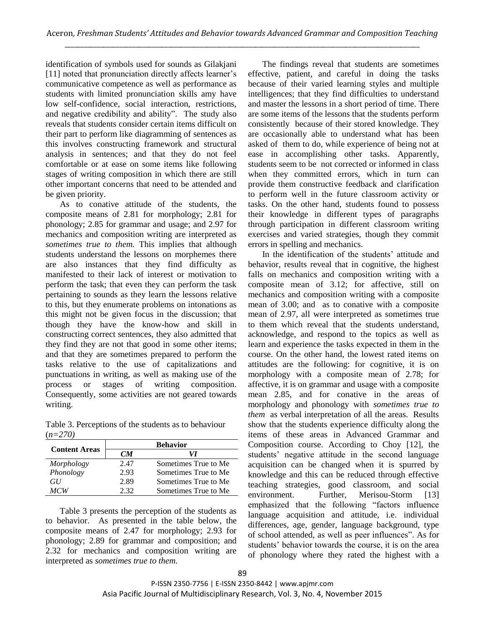identification of symbols used for sounds as Gilakjani [11] noted that pronunciation directly affects learner's communicative competence as well as performance as students with limited pronunciation skills amy have low self-confidence, social interaction, restrictions, and negative credibility and ability". The study also reveals that students consider certain items difficult on their part to perform like diagramming of sentences as this involves constructing framework and structural analysis in sentences; and that they do not feel comfortable or at ease on some items like following stages of writing composition in which there are still other important concerns that need to be attended and be given priority.

As to conative attitude of the students, the composite means of 2.81 for morphology; 2.81 for phonology; 2.85 for grammar and usage; and 2.97 for mechanics and composition writing are interpreted as *sometimes true to them.* This implies that although students understand the lessons on morphemes there are also instances that they find difficulty as manifested to their lack of interest or motivation to perform the task; that even they can perform the task pertaining to sounds as they learn the lessons relative to this, but they enumerate problems on intonations as this might not be given focus in the discussion; that though they have the know-how and skill in constructing correct sentences, they also admitted that they find they are not that good in some other items; and that they are sometimes prepared to perform the tasks relative to the use of capitalizations and punctuations in writing, as well as making use of the process or stages of writing composition. Consequently, some activities are not geared towards writing.

Table 3. Perceptions of the students as to behaviour (*n=270)*

|                      | <b>Behavior</b> |                      |  |
|----------------------|-----------------|----------------------|--|
| <b>Content Areas</b> | CМ              | VI                   |  |
| Morphology           | 2.47            | Sometimes True to Me |  |
| Phonology            | 2.93            | Sometimes True to Me |  |
| GH                   | 2.89            | Sometimes True to Me |  |
| MCW                  | 2.32            | Sometimes True to Me |  |

Table 3 presents the perception of the students as to behavior. As presented in the table below, the composite means of 2.47 for morphology; 2.93 for phonology; 2.89 for grammar and composition; and 2.32 for mechanics and composition writing are interpreted as *sometimes true to them.*

The findings reveal that students are sometimes effective, patient, and careful in doing the tasks because of their varied learning styles and multiple intelligences; that they find difficulties to understand and master the lessons in a short period of time. There are some items of the lessons that the students perform consistently because of their stored knowledge. They are occasionally able to understand what has been asked of them to do, while experience of being not at ease in accomplishing other tasks. Apparently, students seem to be not corrected or informed in class when they committed errors, which in turn can provide them constructive feedback and clarification to perform well in the future classroom activity or tasks. On the other hand, students found to possess their knowledge in different types of paragraphs through participation in different classroom writing exercises and varied strategies, though they commit errors in spelling and mechanics.

In the identification of the students' attitude and behavior, results reveal that in cognitive, the highest falls on mechanics and composition writing with a composite mean of 3.12; for affective, still on mechanics and composition writing with a composite mean of 3.00; and as to conative with a composite mean of 2.97, all were interpreted as sometimes true to them which reveal that the students understand, acknowledge, and respond to the topics as well as learn and experience the tasks expected in them in the course. On the other hand, the lowest rated items on attitudes are the following: for cognitive, it is on morphology with a composite mean of 2.78; for affective, it is on grammar and usage with a composite mean 2.85, and for conative in the areas of morphology and phonology with *sometimes true to them* as verbal interpretation of all the areas. Results show that the students experience difficulty along the items of these areas in Advanced Grammar and Composition course. According to Choy [12], the students" negative attitude in the second language acquisition can be changed when it is spurred by knowledge and this can be reduced through effective teaching strategies, good classroom, and social environment. Further, Merisou-Storm [13] emphasized that the following "factors influence language acquisition and attitude, i.e. individual differences, age, gender, language background, type of school attended, as well as peer influences". As for students' behavior towards the course, it is on the area of phonology where they rated the highest with a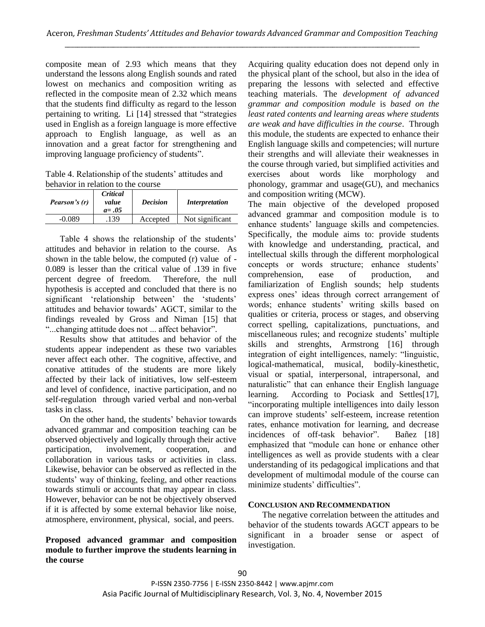composite mean of 2.93 which means that they understand the lessons along English sounds and rated lowest on mechanics and composition writing as reflected in the composite mean of 2.32 which means that the students find difficulty as regard to the lesson pertaining to writing. Li [14] stressed that "strategies used in English as a foreign language is more effective approach to English language, as well as an innovation and a great factor for strengthening and improving language proficiency of students".

Table 4. Relationship of the students' attitudes and behavior in relation to the course

| Pearson's (r) | Critical<br>value<br>$a = .05$ | <b>Decision</b> | <i>Interpretation</i> |
|---------------|--------------------------------|-----------------|-----------------------|
| -0.089        | 139                            | Accepted        | Not significant       |

Table 4 shows the relationship of the students' attitudes and behavior in relation to the course. As shown in the table below, the computed (r) value of - 0.089 is lesser than the critical value of .139 in five percent degree of freedom. Therefore, the null hypothesis is accepted and concluded that there is no significant 'relationship between' the 'students' attitudes and behavior towards" AGCT, similar to the findings revealed by Gross and Niman [15] that "...changing attitude does not ... affect behavior".

Results show that attitudes and behavior of the students appear independent as these two variables never affect each other. The cognitive, affective, and conative attitudes of the students are more likely affected by their lack of initiatives, low self-esteem and level of confidence, inactive participation, and no self-regulation through varied verbal and non-verbal tasks in class.

On the other hand, the students" behavior towards advanced grammar and composition teaching can be observed objectively and logically through their active participation, involvement, cooperation, and collaboration in various tasks or activities in class. Likewise, behavior can be observed as reflected in the students' way of thinking, feeling, and other reactions towards stimuli or accounts that may appear in class. However, behavior can be not be objectively observed if it is affected by some external behavior like noise, atmosphere, environment, physical, social, and peers.

**Proposed advanced grammar and composition module to further improve the students learning in the course** 

Acquiring quality education does not depend only in the physical plant of the school, but also in the idea of preparing the lessons with selected and effective teaching materials. The *development of advanced grammar and composition module* is *based on the least rated contents and learning areas where students are weak and have difficulties in the course*. Through this module, the students are expected to enhance their English language skills and competencies; will nurture their strengths and will alleviate their weaknesses in the course through varied, but simplified activities and exercises about words like morphology and phonology, grammar and usage(GU), and mechanics and composition writing (MCW).

The main objective of the developed proposed advanced grammar and composition module is to enhance students' language skills and competencies. Specifically, the module aims to: provide students with knowledge and understanding, practical, and intellectual skills through the different morphological concepts or words structure; enhance students' comprehension, ease of production, and familiarization of English sounds; help students express ones" ideas through correct arrangement of words; enhance students' writing skills based on qualities or criteria, process or stages, and observing correct spelling, capitalizations, punctuations, and miscellaneous rules; and recognize students' multiple skills and strenghts, Armstrong [16] through integration of eight intelligences, namely: "linguistic, logical-mathematical, musical, bodily-kinesthetic, visual or spatial, interpersonal, intrapersonal, and naturalistic" that can enhance their English language learning. According to Pociask and Settles[17], "incorporating multiple intelligences into daily lesson can improve students" self-esteem, increase retention rates, enhance motivation for learning, and decrease incidences of off-task behavior". Bañez [18] emphasized that "module can hone or enhance other intelligences as well as provide students with a clear understanding of its pedagogical implications and that development of multimodal module of the course can minimize students' difficulties".

## **CONCLUSION AND RECOMMENDATION**

The negative correlation between the attitudes and behavior of the students towards AGCT appears to be significant in a broader sense or aspect of investigation.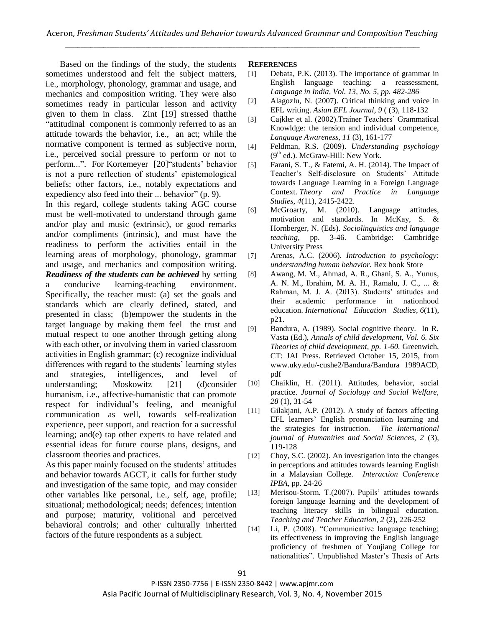Based on the findings of the study, the students sometimes understood and felt the subject matters, i.e., morphology, phonology, grammar and usage, and mechanics and composition writing. They were also sometimes ready in particular lesson and activity given to them in class. Zint [19] stressed thatthe "attitudinal component is commonly referred to as an attitude towards the behavior, i.e., an act; while the normative component is termed as subjective norm, i.e., perceived social pressure to perform or not to perform...". For Kortemeyer [20] students' behavior is not a pure reflection of students' epistemological beliefs; other factors, i.e., notably expectations and expediency also feed into their ... behavior" (p. 9).

In this regard, college students taking AGC course must be well-motivated to understand through game and/or play and music (extrinsic), or good remarks and/or compliments (intrinsic), and must have the readiness to perform the activities entail in the learning areas of morphology, phonology, grammar and usage, and mechanics and composition writing.

*Readiness of the students can be achieved* by setting a conducive learning-teaching environment. Specifically, the teacher must: (a) set the goals and standards which are clearly defined, stated, and presented in class; (b)empower the students in the target language by making them feel the trust and mutual respect to one another through getting along with each other, or involving them in varied classroom activities in English grammar; (c) recognize individual differences with regard to the students' learning styles and strategies, intelligences, and level of understanding; Moskowitz [21] (d)consider humanism, i.e., affective-humanistic that can promote respect for individual"s feeling, and meanigful communication as well, towards self-realization experience, peer support, and reaction for a successful learning; and(e) tap other experts to have related and essential ideas for future course plans, designs, and classroom theories and practices.

As this paper mainly focused on the students' attitudes and behavior towards AGCT, it calls for further study and investigation of the same topic, and may consider other variables like personal, i.e., self, age, profile; situational; methodological; needs; defences; intention and purpose; maturity, volitional and perceived behavioral controls; and other culturally inherited factors of the future respondents as a subject.

## **REFERENCES**

- [1] Debata, P.K. (2013). The importance of grammar in English language teaching: a reassessment, *Language in India, Vol. 13, No. 5, pp. 482-286*
- [2] Alagozlu, N. (2007). Critical thinking and voice in EFL writing. *Asian EFL Journal*, *9* ( (3), 118-132
- [3] Cajkler et al. (2002). Trainer Teachers' Grammatical Knowldge: the tension and individual competence, *Language Awareness*, *11* (3), 161-177
- [4] Feldman, R.S. (2009). *Understanding psychology*  $(9<sup>th</sup>$  ed.). McGraw-Hill: New York.
- [5] Farani, S. T., & Fatemi, A. H. (2014). The Impact of Teacher"s Self-disclosure on Students" Attitude towards Language Learning in a Foreign Language Context. *Theory and Practice in Language Studies*, *4*(11), 2415-2422.
- [6] McGroarty, M. (2010). Language attitudes, motivation and standards. In McKay, S. & Hornberger, N. (Eds). *Sociolinguistics and language teaching,* pp. 3-46. Cambridge: Cambridge University Press
- [7] Arenas, A.C. (2006). *Introduction to psychology: understanding human behavior.* Rex book Store
- [8] Awang, M. M., Ahmad, A. R., Ghani, S. A., Yunus, A. N. M., Ibrahim, M. A. H., Ramalu, J. C., ... & Rahman, M. J. A. (2013). Students' attitudes and their academic performance in nationhood education. *International Education Studies*, *6*(11), p21.
- [9] Bandura, A. (1989). Social cognitive theory. In R. Vasta (Ed.), *Annals of child development, Vol. 6. Six Theories of child development, pp. 1-60.* Greenwich, CT: JAI Press. Retrieved October 15, 2015, from www.uky.edu/-cushe2/Bandura/Bandura 1989ACD, pdf
- [10] Chaiklin, H. (2011). Attitudes, behavior, social practice. *Journal of Sociology and Social Welfare, 28* (1), 31-54
- [11] Gilakjani, A.P. (2012). A study of factors affecting EFL learners" English pronunciation learning and the strategies for instruction. *The International journal of Humanities and Social Sciences, 2* (3), 119-128
- [12] Choy, S.C. (2002). An investigation into the changes in perceptions and attitudes towards learning English in a Malaysian College. *Interaction Conference IPBA,* pp. 24-26
- [13] Merisou-Storm, T.(2007). Pupils' attitudes towards foreign language learning and the development of teaching literacy skills in bilingual education. *Teaching and Teacher Education, 2* (2), 226-252
- [14] Li, P. (2008). "Communicative language teaching; its effectiveness in improving the English language proficiency of freshmen of Youjiang College for nationalities". Unpublished Master's Thesis of Arts